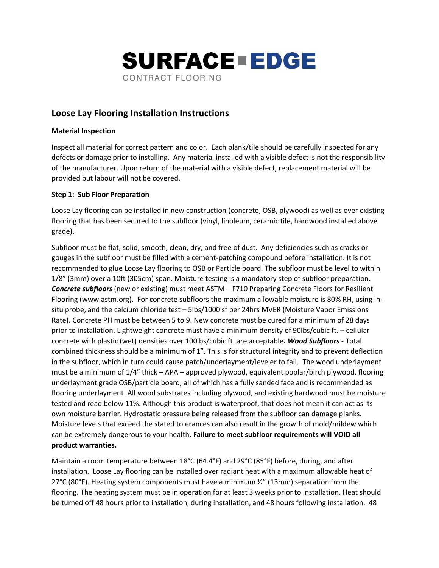

# **Loose Lay Flooring Installation Instructions**

#### **Material Inspection**

Inspect all material for correct pattern and color. Each plank/tile should be carefully inspected for any defects or damage prior to installing. Any material installed with a visible defect is not the responsibility of the manufacturer. Upon return of the material with a visible defect, replacement material will be provided but labour will not be covered.

### **Step 1: Sub Floor Preparation**

Loose Lay flooring can be installed in new construction (concrete, OSB, plywood) as well as over existing flooring that has been secured to the subfloor (vinyl, linoleum, ceramic tile, hardwood installed above grade).

Subfloor must be flat, solid, smooth, clean, dry, and free of dust. Any deficiencies such as cracks or gouges in the subfloor must be filled with a cement-patching compound before installation. It is not recommended to glue Loose Lay flooring to OSB or Particle board. The subfloor must be level to within 1/8" (3mm) over a 10ft (305cm) span. Moisture testing is a mandatory step of subfloor preparation. *Concrete subfloors* (new or existing) must meet ASTM – F710 Preparing Concrete Floors for Resilient Flooring (www.astm.org). For concrete subfloors the maximum allowable moisture is 80% RH, using insitu probe, and the calcium chloride test – 5lbs/1000 sf per 24hrs MVER (Moisture Vapor Emissions Rate). Concrete PH must be between 5 to 9. New concrete must be cured for a minimum of 28 days prior to installation. Lightweight concrete must have a minimum density of 90lbs/cubic ft. – cellular concrete with plastic (wet) densities over 100lbs/cubic ft. are acceptable*. Wood Subfloors* - Total combined thickness should be a minimum of 1". This is for structural integrity and to prevent deflection in the subfloor, which in turn could cause patch/underlayment/leveler to fail. The wood underlayment must be a minimum of 1/4" thick – APA – approved plywood, equivalent poplar/birch plywood, flooring underlayment grade OSB/particle board, all of which has a fully sanded face and is recommended as flooring underlayment. All wood substrates including plywood, and existing hardwood must be moisture tested and read below 11%. Although this product is waterproof, that does not mean it can act as its own moisture barrier. Hydrostatic pressure being released from the subfloor can damage planks. Moisture levels that exceed the stated tolerances can also result in the growth of mold/mildew which can be extremely dangerous to your health. **Failure to meet subfloor requirements will VOID all product warranties.** 

Maintain a room temperature between 18°C (64.4°F) and 29°C (85°F) before, during, and after installation. Loose Lay flooring can be installed over radiant heat with a maximum allowable heat of 27°C (80°F). Heating system components must have a minimum  $\frac{1}{2}$ " (13mm) separation from the flooring. The heating system must be in operation for at least 3 weeks prior to installation. Heat should be turned off 48 hours prior to installation, during installation, and 48 hours following installation. 48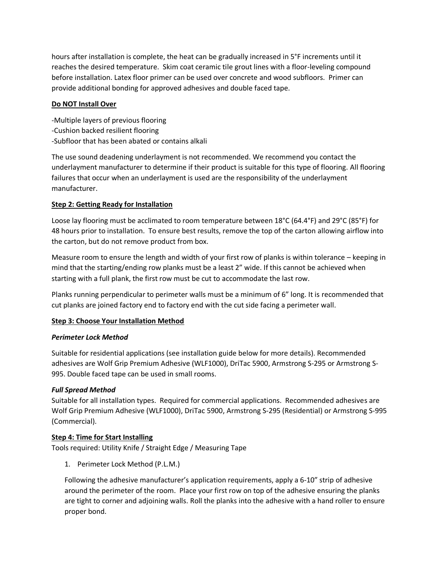hours after installation is complete, the heat can be gradually increased in 5°F increments until it reaches the desired temperature. Skim coat ceramic tile grout lines with a floor-leveling compound before installation. Latex floor primer can be used over concrete and wood subfloors. Primer can provide additional bonding for approved adhesives and double faced tape.

### **Do NOT Install Over**

-Multiple layers of previous flooring -Cushion backed resilient flooring -Subfloor that has been abated or contains alkali

The use sound deadening underlayment is not recommended. We recommend you contact the underlayment manufacturer to determine if their product is suitable for this type of flooring. All flooring failures that occur when an underlayment is used are the responsibility of the underlayment manufacturer.

# **Step 2: Getting Ready for Installation**

Loose lay flooring must be acclimated to room temperature between 18°C (64.4°F) and 29°C (85°F) for 48 hours prior to installation. To ensure best results, remove the top of the carton allowing airflow into the carton, but do not remove product from box.

Measure room to ensure the length and width of your first row of planks is within tolerance – keeping in mind that the starting/ending row planks must be a least 2" wide. If this cannot be achieved when starting with a full plank, the first row must be cut to accommodate the last row.

Planks running perpendicular to perimeter walls must be a minimum of 6" long. It is recommended that cut planks are joined factory end to factory end with the cut side facing a perimeter wall.

# **Step 3: Choose Your Installation Method**

#### *Perimeter Lock Method*

Suitable for residential applications (see installation guide below for more details). Recommended adhesives are Wolf Grip Premium Adhesive (WLF1000), DriTac 5900, Armstrong S-295 or Armstrong S-995. Double faced tape can be used in small rooms.

# *Full Spread Method*

Suitable for all installation types. Required for commercial applications. Recommended adhesives are Wolf Grip Premium Adhesive (WLF1000), DriTac 5900, Armstrong S-295 (Residential) or Armstrong S-995 (Commercial).

#### **Step 4: Time for Start Installing**

Tools required: Utility Knife / Straight Edge / Measuring Tape

1. Perimeter Lock Method (P.L.M.)

Following the adhesive manufacturer's application requirements, apply a 6-10" strip of adhesive around the perimeter of the room. Place your first row on top of the adhesive ensuring the planks are tight to corner and adjoining walls. Roll the planks into the adhesive with a hand roller to ensure proper bond.